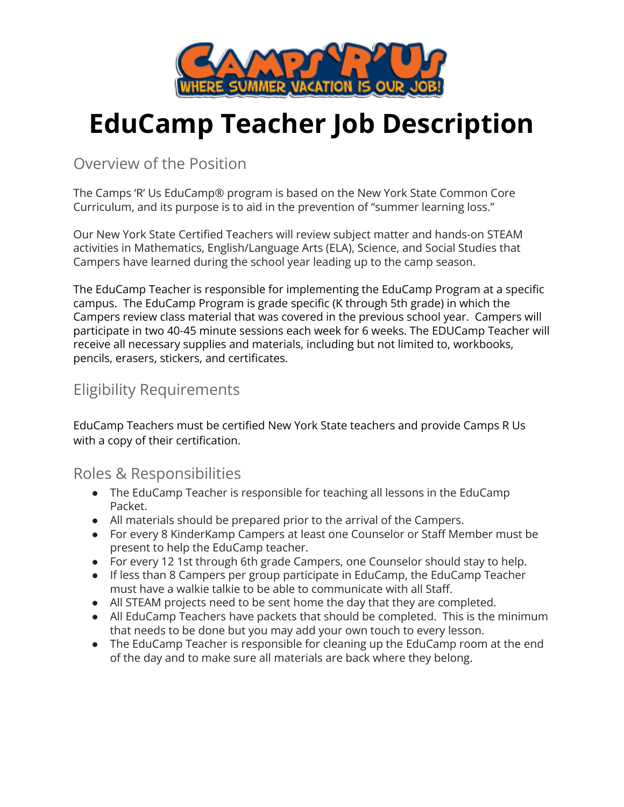

# **EduCamp Teacher Job Description**

Overview of the Position

The Camps 'R' Us EduCamp® program is based on the New York State Common Core Curriculum, and its purpose is to aid in the prevention of "summer learning loss."

Our New York State Certified Teachers will review subject matter and hands-on STEAM activities in Mathematics, English/Language Arts (ELA), Science, and Social Studies that Campers have learned during the school year leading up to the camp season.

The EduCamp Teacher is responsible for implementing the EduCamp Program at a specific campus. The EduCamp Program is grade specific (K through 5th grade) in which the Campers review class material that was covered in the previous school year. Campers will participate in two 40-45 minute sessions each week for 6 weeks. The EDUCamp Teacher will receive all necessary supplies and materials, including but not limited to, workbooks, pencils, erasers, stickers, and certificates.

# Eligibility Requirements

EduCamp Teachers must be certified New York State teachers and provide Camps R Us with a copy of their certification.

## Roles & Responsibilities

- The EduCamp Teacher is responsible for teaching all lessons in the EduCamp Packet.
- All materials should be prepared prior to the arrival of the Campers.
- For every 8 KinderKamp Campers at least one Counselor or Staff Member must be present to help the EduCamp teacher.
- For every 12 1st through 6th grade Campers, one Counselor should stay to help.
- If less than 8 Campers per group participate in EduCamp, the EduCamp Teacher must have a walkie talkie to be able to communicate with all Staff.
- All STEAM projects need to be sent home the day that they are completed.
- All EduCamp Teachers have packets that should be completed. This is the minimum that needs to be done but you may add your own touch to every lesson.
- The EduCamp Teacher is responsible for cleaning up the EduCamp room at the end of the day and to make sure all materials are back where they belong.